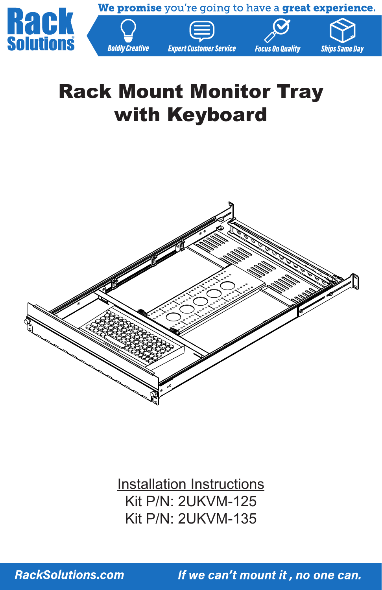

# Rack Mount Monitor Tray with Keyboard



Installation Instructions Kit P/N: 2UKVM-125 Kit P/N: 2UKVM-135

**RackSolutions.com**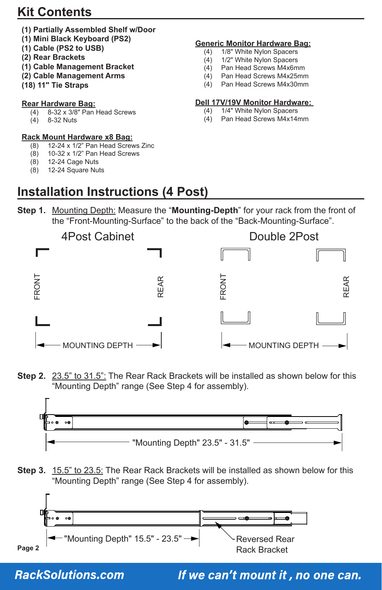### **Kit Contents**

- **(1) Partially Assembled Shelf w/Door**
- **(1) Mini Black Keyboard (PS2)**
- **(1) Cable (PS2 to USB)**
- **(2) Rear Brackets**
- **(1) Cable Management Bracket**
- **(2) Cable Management Arms**
- **(18) 11" Tie Straps**

#### **Rear Hardware Bag:**

- (4) 8-32 x 3/8" Pan Head Screws
- (4) 8-32 Nuts

# **Rack Mount Hardware x8 Bag:**<br>(8) 12-24 x 1/2" Pan Head Screy

- (8) 12-24 x 1/2" Pan Head Screws Zinc<br>(8) 10-32 x 1/2" Pan Head Screws
- (8) 10-32 x 1/2" Pan Head Screws<br>(8) 12-24 Cage Nuts
- (8) 12-24 Cage Nuts<br>(8) 12-24 Square Nu
- 12-24 Square Nuts

#### **Generic Monitor Hardware Bag:**

- (4) 1/8" White Nylon Spacers<br>(4) 1/2" White Nylon Spacers
- (4) 1/2" White Nylon Spacers<br>(4) Pan Head Screws M4x6m
- Pan Head Screws M4x6mm
- (4) Pan Head Screws M4x25mm (4) Pan Head Screws M4x30mm
- 

## **Dell 17V/19V Monitor Hardware:**<br>(4) 1/4" White Nylon Spacers

- 1/4" White Nylon Spacers
- (4) Pan Head Screws M4x14mm
- **Installation Instructions (4 Post)**
- **Step 1.** Mounting Depth: Measure the "**Mounting-Depth**" for your rack from the front of the "Front-Mounting-Surface" to the back of the "Back-Mounting-Surface".



**Step 2.** 23.5" to 31.5": The Rear Rack Brackets will be installed as shown below for this "Mounting Depth" range (See Step 4 for assembly).



**Step 3.** 15.5" to 23.5: The Rear Rack Brackets will be installed as shown below for this "Mounting Depth" range (See Step 4 for assembly).



#### **RackSolutions.com**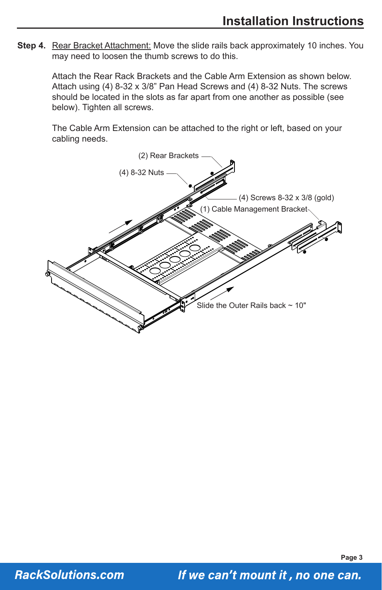**Step 4.** Rear Bracket Attachment: Move the slide rails back approximately 10 inches. You may need to loosen the thumb screws to do this.

Attach the Rear Rack Brackets and the Cable Arm Extension as shown below. Attach using (4) 8-32 x 3/8" Pan Head Screws and (4) 8-32 Nuts. The screws should be located in the slots as far apart from one another as possible (see below). Tighten all screws.

The Cable Arm Extension can be attached to the right or left, based on your cabling needs.



**Page 3**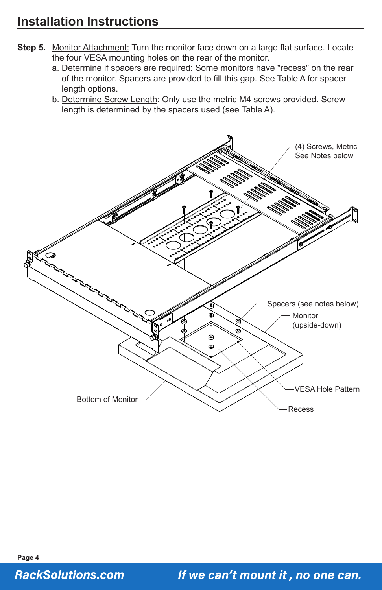- **Step 5.** Monitor Attachment: Turn the monitor face down on a large flat surface. Locate the four VESA mounting holes on the rear of the monitor.
	- a. Determine if spacers are required: Some monitors have "recess" on the rear of the monitor. Spacers are provided to fill this gap. See Table A for spacer length options.
	- b. Determine Screw Length: Only use the metric M4 screws provided. Screw length is determined by the spacers used (see Table A).



**Page 4 RackSolutions.com**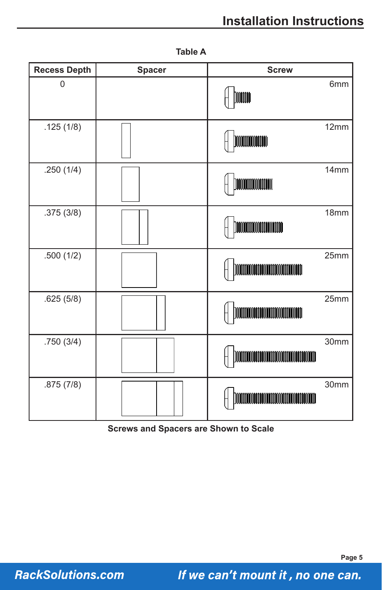## **Installation Instructions**

| <b>Recess Depth</b> | <b>Spacer</b> | <b>Screw</b>                                 |
|---------------------|---------------|----------------------------------------------|
| $\mathbf 0$         |               | 6mm<br><b>Dimin</b>                          |
| .125(1/8)           |               | 12mm<br><b>MOODOOOOOOOO</b>                  |
| .250(1/4)           |               | 14mm                                         |
| .375(3/8)           |               | 18mm                                         |
| .500(1/2)           |               | 25mm<br>])1001001001001001001001001001001001 |
| .625(5/8)           |               | 25mm                                         |
| .750(3/4)           |               | 30mm                                         |
| .875(7/8)           |               | 30mm                                         |

**Table A**

**Screws and Spacers are Shown to Scale**

**RackSolutions.com**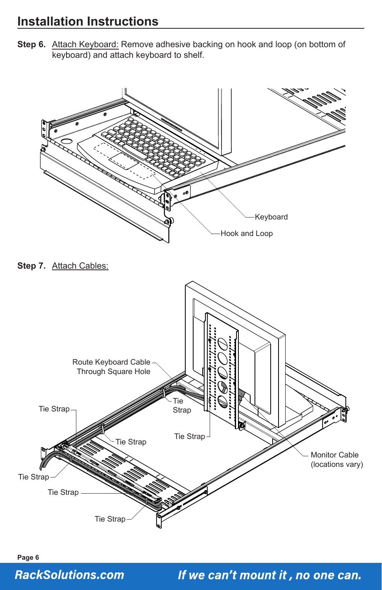Step 6. Attach Keyboard: Remove adhesive backing on hook and loop (on bottom of keyboard) and attach keyboard to shelf.



#### **RackSolutions.com**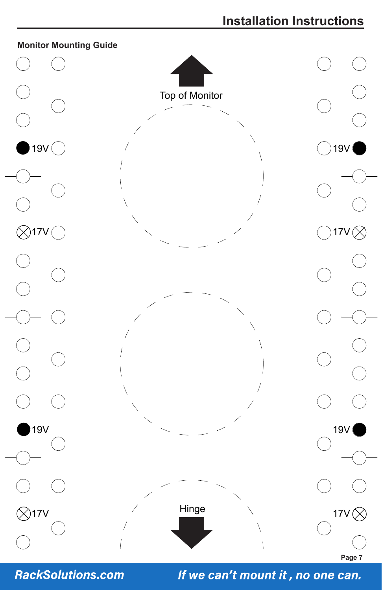

**RackSolutions.com**